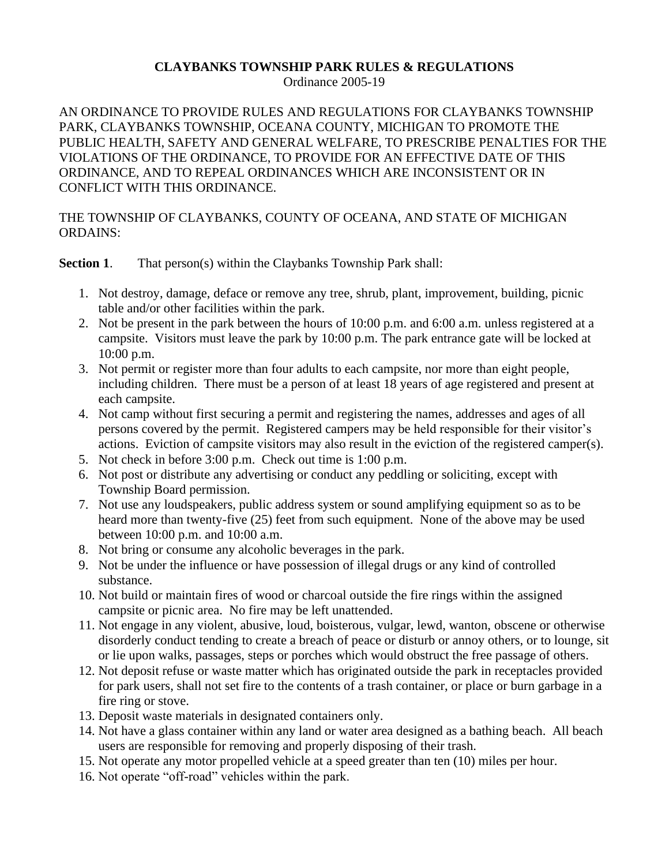## **CLAYBANKS TOWNSHIP PARK RULES & REGULATIONS**

Ordinance 2005-19

AN ORDINANCE TO PROVIDE RULES AND REGULATIONS FOR CLAYBANKS TOWNSHIP PARK, CLAYBANKS TOWNSHIP, OCEANA COUNTY, MICHIGAN TO PROMOTE THE PUBLIC HEALTH, SAFETY AND GENERAL WELFARE, TO PRESCRIBE PENALTIES FOR THE VIOLATIONS OF THE ORDINANCE, TO PROVIDE FOR AN EFFECTIVE DATE OF THIS ORDINANCE, AND TO REPEAL ORDINANCES WHICH ARE INCONSISTENT OR IN CONFLICT WITH THIS ORDINANCE.

## THE TOWNSHIP OF CLAYBANKS, COUNTY OF OCEANA, AND STATE OF MICHIGAN ORDAINS:

**Section 1.** That person(s) within the Claybanks Township Park shall:

- 1. Not destroy, damage, deface or remove any tree, shrub, plant, improvement, building, picnic table and/or other facilities within the park.
- 2. Not be present in the park between the hours of 10:00 p.m. and 6:00 a.m. unless registered at a campsite. Visitors must leave the park by 10:00 p.m. The park entrance gate will be locked at 10:00 p.m.
- 3. Not permit or register more than four adults to each campsite, nor more than eight people, including children. There must be a person of at least 18 years of age registered and present at each campsite.
- 4. Not camp without first securing a permit and registering the names, addresses and ages of all persons covered by the permit. Registered campers may be held responsible for their visitor's actions. Eviction of campsite visitors may also result in the eviction of the registered camper(s).
- 5. Not check in before 3:00 p.m. Check out time is 1:00 p.m.
- 6. Not post or distribute any advertising or conduct any peddling or soliciting, except with Township Board permission.
- 7. Not use any loudspeakers, public address system or sound amplifying equipment so as to be heard more than twenty-five (25) feet from such equipment. None of the above may be used between 10:00 p.m. and 10:00 a.m.
- 8. Not bring or consume any alcoholic beverages in the park.
- 9. Not be under the influence or have possession of illegal drugs or any kind of controlled substance.
- 10. Not build or maintain fires of wood or charcoal outside the fire rings within the assigned campsite or picnic area. No fire may be left unattended.
- 11. Not engage in any violent, abusive, loud, boisterous, vulgar, lewd, wanton, obscene or otherwise disorderly conduct tending to create a breach of peace or disturb or annoy others, or to lounge, sit or lie upon walks, passages, steps or porches which would obstruct the free passage of others.
- 12. Not deposit refuse or waste matter which has originated outside the park in receptacles provided for park users, shall not set fire to the contents of a trash container, or place or burn garbage in a fire ring or stove.
- 13. Deposit waste materials in designated containers only.
- 14. Not have a glass container within any land or water area designed as a bathing beach. All beach users are responsible for removing and properly disposing of their trash.
- 15. Not operate any motor propelled vehicle at a speed greater than ten (10) miles per hour.
- 16. Not operate "off-road" vehicles within the park.